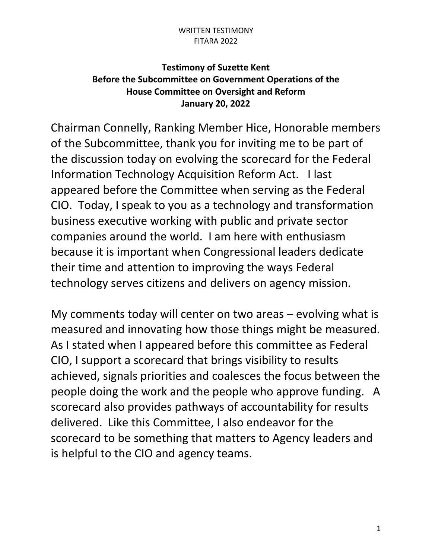## WRITTEN TESTIMONY FITARA 2022

## **Testimony of Suzette Kent Before the Subcommittee on Government Operations of the House Committee on Oversight and Reform January 20, 2022**

Chairman Connelly, Ranking Member Hice, Honorable members of the Subcommittee, thank you for inviting me to be part of the discussion today on evolving the scorecard for the Federal Information Technology Acquisition Reform Act. I last appeared before the Committee when serving as the Federal CIO. Today, I speak to you as a technology and transformation business executive working with public and private sector companies around the world. I am here with enthusiasm because it is important when Congressional leaders dedicate their time and attention to improving the ways Federal technology serves citizens and delivers on agency mission.

My comments today will center on two areas – evolving what is measured and innovating how those things might be measured. As I stated when I appeared before this committee as Federal CIO, I support a scorecard that brings visibility to results achieved, signals priorities and coalesces the focus between the people doing the work and the people who approve funding. A scorecard also provides pathways of accountability for results delivered. Like this Committee, I also endeavor for the scorecard to be something that matters to Agency leaders and is helpful to the CIO and agency teams.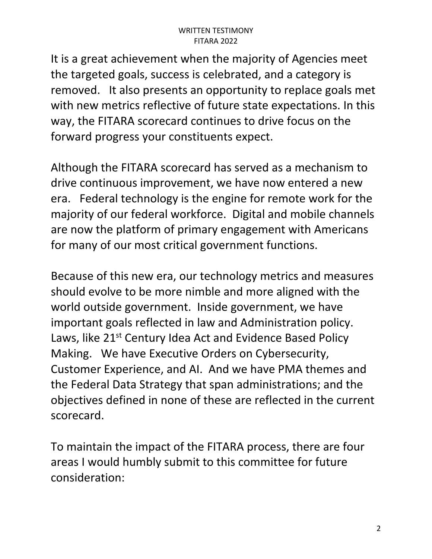It is a great achievement when the majority of Agencies meet the targeted goals, success is celebrated, and a category is removed. It also presents an opportunity to replace goals met with new metrics reflective of future state expectations. In this way, the FITARA scorecard continues to drive focus on the forward progress your constituents expect.

Although the FITARA scorecard has served as a mechanism to drive continuous improvement, we have now entered a new era. Federal technology is the engine for remote work for the majority of our federal workforce. Digital and mobile channels are now the platform of primary engagement with Americans for many of our most critical government functions.

Because of this new era, our technology metrics and measures should evolve to be more nimble and more aligned with the world outside government. Inside government, we have important goals reflected in law and Administration policy. Laws, like 21<sup>st</sup> Century Idea Act and Evidence Based Policy Making. We have Executive Orders on Cybersecurity, Customer Experience, and AI. And we have PMA themes and the Federal Data Strategy that span administrations; and the objectives defined in none of these are reflected in the current scorecard.

To maintain the impact of the FITARA process, there are four areas I would humbly submit to this committee for future consideration: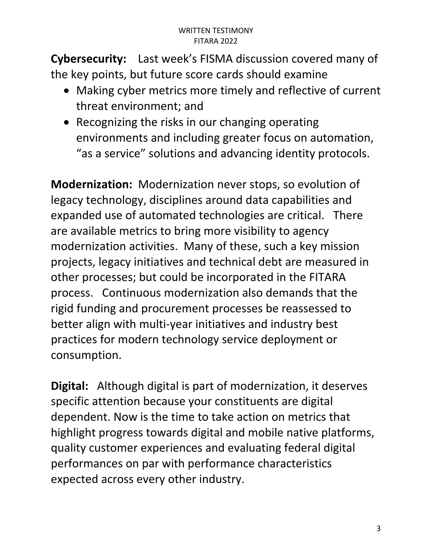**Cybersecurity:** Last week's FISMA discussion covered many of the key points, but future score cards should examine

- Making cyber metrics more timely and reflective of current threat environment; and
- Recognizing the risks in our changing operating environments and including greater focus on automation, "as a service" solutions and advancing identity protocols.

**Modernization:** Modernization never stops, so evolution of legacy technology, disciplines around data capabilities and expanded use of automated technologies are critical. There are available metrics to bring more visibility to agency modernization activities. Many of these, such a key mission projects, legacy initiatives and technical debt are measured in other processes; but could be incorporated in the FITARA process. Continuous modernization also demands that the rigid funding and procurement processes be reassessed to better align with multi-year initiatives and industry best practices for modern technology service deployment or consumption.

**Digital:** Although digital is part of modernization, it deserves specific attention because your constituents are digital dependent. Now is the time to take action on metrics that highlight progress towards digital and mobile native platforms, quality customer experiences and evaluating federal digital performances on par with performance characteristics expected across every other industry.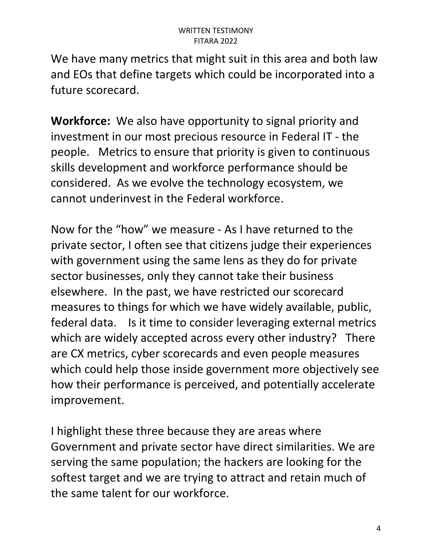We have many metrics that might suit in this area and both law and EOs that define targets which could be incorporated into a future scorecard.

**Workforce:** We also have opportunity to signal priority and investment in our most precious resource in Federal IT - the people. Metrics to ensure that priority is given to continuous skills development and workforce performance should be considered. As we evolve the technology ecosystem, we cannot underinvest in the Federal workforce.

Now for the "how" we measure - As I have returned to the private sector, I often see that citizens judge their experiences with government using the same lens as they do for private sector businesses, only they cannot take their business elsewhere. In the past, we have restricted our scorecard measures to things for which we have widely available, public, federal data. Is it time to consider leveraging external metrics which are widely accepted across every other industry? There are CX metrics, cyber scorecards and even people measures which could help those inside government more objectively see how their performance is perceived, and potentially accelerate improvement.

I highlight these three because they are areas where Government and private sector have direct similarities. We are serving the same population; the hackers are looking for the softest target and we are trying to attract and retain much of the same talent for our workforce.